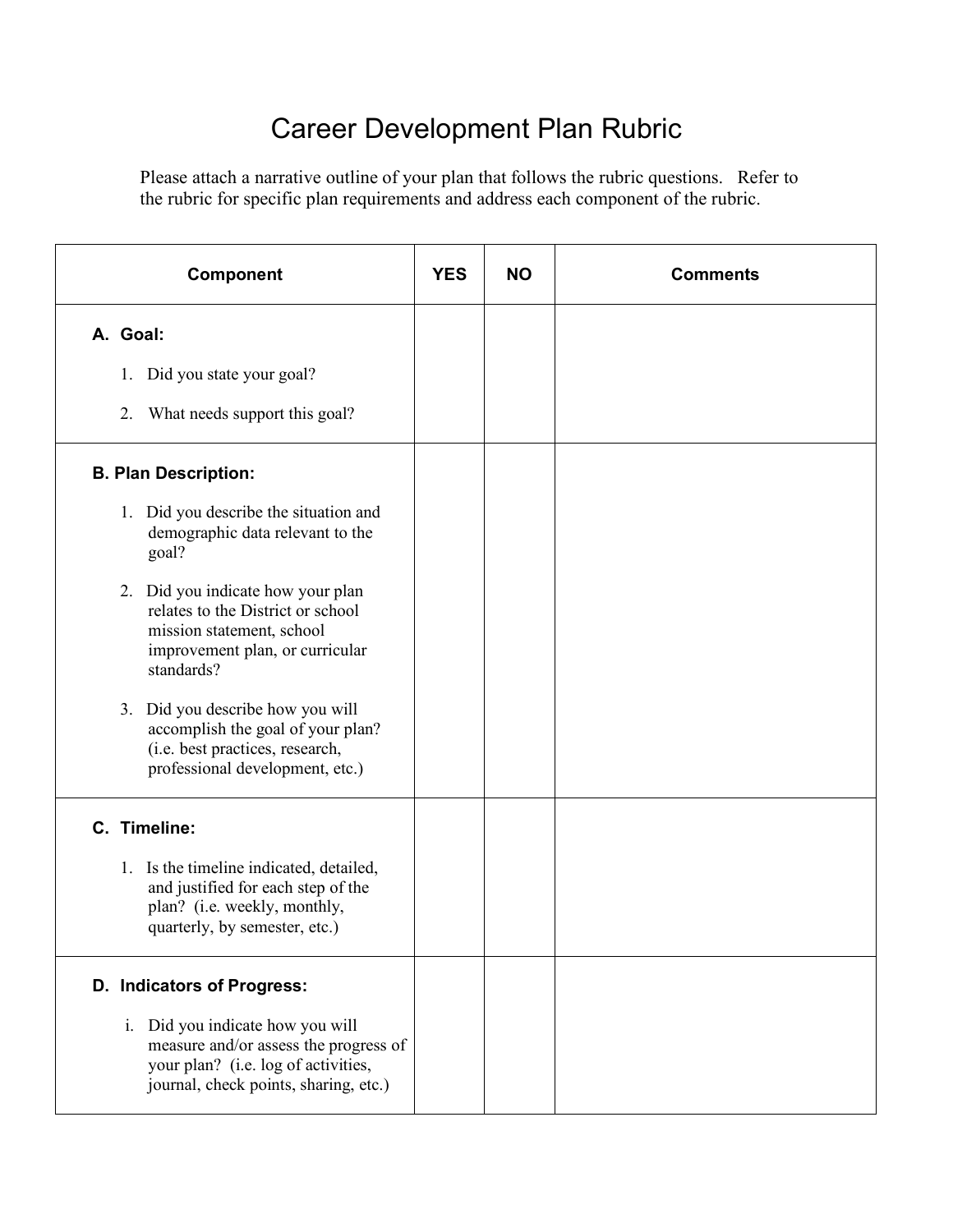## Career Development Plan Rubric

Please attach a narrative outline of your plan that follows the rubric questions. Refer to the rubric for specific plan requirements and address each component of the rubric.

| Component                                                                                                                                                 | <b>YES</b> | <b>NO</b> | <b>Comments</b> |
|-----------------------------------------------------------------------------------------------------------------------------------------------------------|------------|-----------|-----------------|
| A. Goal:                                                                                                                                                  |            |           |                 |
| Did you state your goal?<br>1.                                                                                                                            |            |           |                 |
| What needs support this goal?<br>2.                                                                                                                       |            |           |                 |
| <b>B. Plan Description:</b>                                                                                                                               |            |           |                 |
| 1. Did you describe the situation and<br>demographic data relevant to the<br>goal?                                                                        |            |           |                 |
| 2. Did you indicate how your plan<br>relates to the District or school<br>mission statement, school<br>improvement plan, or curricular<br>standards?      |            |           |                 |
| 3. Did you describe how you will<br>accomplish the goal of your plan?<br>(i.e. best practices, research,<br>professional development, etc.)               |            |           |                 |
| C. Timeline:                                                                                                                                              |            |           |                 |
| 1. Is the timeline indicated, detailed,<br>and justified for each step of the<br>plan? (i.e. weekly, monthly,<br>quarterly, by semester, etc.)            |            |           |                 |
| D. Indicators of Progress:                                                                                                                                |            |           |                 |
| i. Did you indicate how you will<br>measure and/or assess the progress of<br>your plan? (i.e. log of activities,<br>journal, check points, sharing, etc.) |            |           |                 |